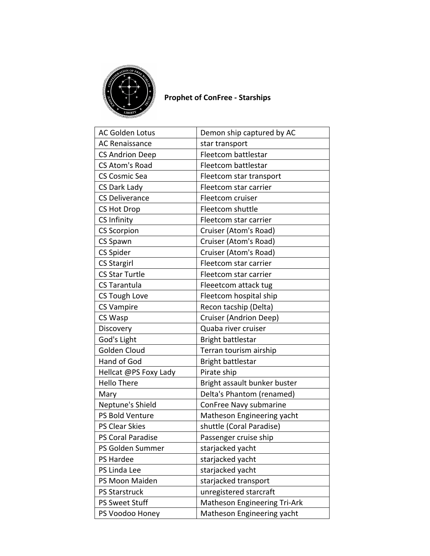

## **Prophet of ConFree - Starships**

| <b>AC Golden Lotus</b>   | Demon ship captured by AC    |
|--------------------------|------------------------------|
| <b>AC Renaissance</b>    | star transport               |
| <b>CS Andrion Deep</b>   | Fleetcom battlestar          |
| <b>CS Atom's Road</b>    | Fleetcom battlestar          |
| <b>CS Cosmic Sea</b>     | Fleetcom star transport      |
| CS Dark Lady             | Fleetcom star carrier        |
| <b>CS Deliverance</b>    | Fleetcom cruiser             |
| <b>CS Hot Drop</b>       | Fleetcom shuttle             |
| CS Infinity              | Fleetcom star carrier        |
| <b>CS Scorpion</b>       | Cruiser (Atom's Road)        |
| <b>CS Spawn</b>          | Cruiser (Atom's Road)        |
| CS Spider                | Cruiser (Atom's Road)        |
| <b>CS Stargirl</b>       | Fleetcom star carrier        |
| <b>CS Star Turtle</b>    | Fleetcom star carrier        |
| <b>CS Tarantula</b>      | Fleeetcom attack tug         |
| <b>CS Tough Love</b>     | Fleetcom hospital ship       |
| <b>CS Vampire</b>        | Recon tacship (Delta)        |
| CS Wasp                  | Cruiser (Andrion Deep)       |
| Discovery                | Quaba river cruiser          |
| God's Light              | Bright battlestar            |
| Golden Cloud             | Terran tourism airship       |
| Hand of God              | Bright battlestar            |
| Hellcat @PS Foxy Lady    | Pirate ship                  |
| <b>Hello There</b>       | Bright assault bunker buster |
| Mary                     | Delta's Phantom (renamed)    |
| Neptune's Shield         | ConFree Navy submarine       |
| PS Bold Venture          | Matheson Engineering yacht   |
| PS Clear Skies           | shuttle (Coral Paradise)     |
| <b>PS Coral Paradise</b> | Passenger cruise ship        |
| PS Golden Summer         | starjacked yacht             |
| PS Hardee                | starjacked yacht             |
| PS Linda Lee             | starjacked yacht             |
| PS Moon Maiden           | starjacked transport         |
| <b>PS Starstruck</b>     | unregistered starcraft       |
| <b>PS Sweet Stuff</b>    | Matheson Engineering Tri-Ark |
| PS Voodoo Honey          | Matheson Engineering yacht   |